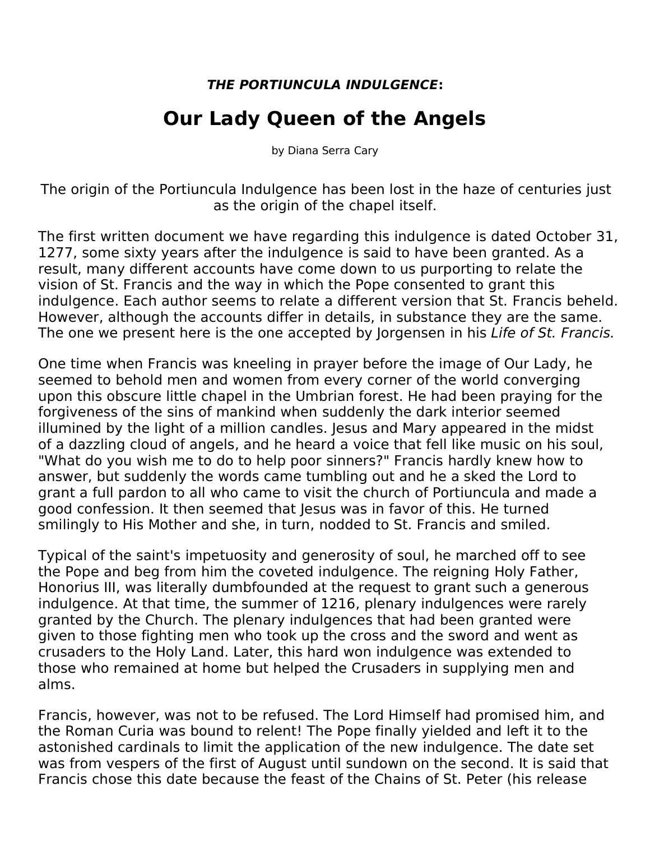## *THE PORTIUNCULA INDULGENCE***:**

## **Our Lady Queen of the Angels**

by Diana Serra Cary

The origin of the Portiuncula Indulgence has been lost in the haze of centuries just as the origin of the chapel itself.

The first written document we have regarding this indulgence is dated October 31, 1277, some sixty years after the indulgence is said to have been granted. As a result, many different accounts have come down to us purporting to relate the vision of St. Francis and the way in which the Pope consented to grant this indulgence. Each author seems to relate a different version that St. Francis beheld. However, although the accounts differ in details, in substance they are the same. The one we present here is the one accepted by Jorgensen in his *Life of St. Francis.*

One time when Francis was kneeling in prayer before the image of Our Lady, he seemed to behold men and women from every corner of the world converging upon this obscure little chapel in the Umbrian forest. He had been praying for the forgiveness of the sins of mankind when suddenly the dark interior seemed illumined by the light of a million candles. Jesus and Mary appeared in the midst of a dazzling cloud of angels, and he heard a voice that fell like music on his soul, "What do you wish me to do to help poor sinners?" Francis hardly knew how to answer, but suddenly the words came tumbling out and he a sked the Lord to grant a full pardon to all who came to visit the church of Portiuncula and made a good confession. It then seemed that lesus was in favor of this. He turned smilingly to His Mother and she, in turn, nodded to St. Francis and smiled.

Typical of the saint's impetuosity and generosity of soul, he marched off to see the Pope and beg from him the coveted indulgence. The reigning Holy Father, Honorius III, was literally dumbfounded at the request to grant such a generous indulgence. At that time, the summer of 1216, plenary indulgences were rarely granted by the Church. The plenary indulgences that had been granted were given to those fighting men who took up the cross and the sword and went as crusaders to the Holy Land.Later, this hard won indulgence was extended to those who remained at home but helped the Crusaders in supplying men and alms.

Francis, however, was not to be refused. The Lord Himself had promised him, and the Roman Curia was bound to relent! The Pope finally yielded and left it to the astonished cardinals to limit the application of the new indulgence. The date set was from vespers of the first of August until sundown on the second. It is said that Francis chose this date because the feast of the Chains of St. Peter (his release